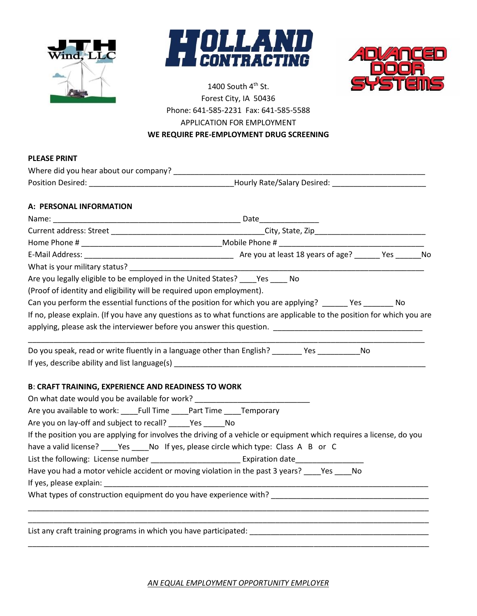





## 1400 South  $4<sup>th</sup>$  St. Forest City, IA 50436 Phone: 641-585-2231 Fax: 641-585-5588 APPLICATION FOR EMPLOYMENT **WE REQUIRE PRE-EMPLOYMENT DRUG SCREENING**

## **PLEASE PRINT**

|                                                                                                                | Where did you hear about our company?                                                                                   |
|----------------------------------------------------------------------------------------------------------------|-------------------------------------------------------------------------------------------------------------------------|
|                                                                                                                |                                                                                                                         |
| A: PERSONAL INFORMATION                                                                                        |                                                                                                                         |
|                                                                                                                |                                                                                                                         |
|                                                                                                                |                                                                                                                         |
|                                                                                                                |                                                                                                                         |
|                                                                                                                |                                                                                                                         |
| What is your military status?                                                                                  |                                                                                                                         |
| Are you legally eligible to be employed in the United States? ____Yes ____ No                                  |                                                                                                                         |
| (Proof of identity and eligibility will be required upon employment).                                          |                                                                                                                         |
|                                                                                                                | Can you perform the essential functions of the position for which you are applying? ______ Yes _______ No               |
|                                                                                                                | If no, please explain. (If you have any questions as to what functions are applicable to the position for which you are |
|                                                                                                                |                                                                                                                         |
|                                                                                                                | Do you speak, read or write fluently in a language other than English? _______ Yes ____________No                       |
| <b>B: CRAFT TRAINING, EXPERIENCE AND READINESS TO WORK</b>                                                     |                                                                                                                         |
| On what date would you be available for work? __________________________________                               |                                                                                                                         |
| Are you available to work: Full Time Part Time Temporary                                                       |                                                                                                                         |
| Are you on lay-off and subject to recall? ______Yes _______No                                                  |                                                                                                                         |
|                                                                                                                | If the position you are applying for involves the driving of a vehicle or equipment which requires a license, do you    |
|                                                                                                                | have a valid license? _____Yes _____No If yes, please circle which type: Class A B or C                                 |
|                                                                                                                |                                                                                                                         |
|                                                                                                                |                                                                                                                         |
|                                                                                                                | Have you had a motor vehicle accident or moving violation in the past 3 years? ____Yes ____No                           |
| If yes, please explain: The same state of the state of the state of the state of the state of the state of the |                                                                                                                         |

List any craft training programs in which you have participated: \_\_\_\_\_\_\_\_\_\_\_\_\_\_\_\_\_\_\_\_\_\_\_\_\_\_\_\_\_\_\_\_\_\_\_\_\_\_\_\_\_\_

*AN EQUAL EMPLOYMENT OPPORTUNITY EMPLOYER*

\_\_\_\_\_\_\_\_\_\_\_\_\_\_\_\_\_\_\_\_\_\_\_\_\_\_\_\_\_\_\_\_\_\_\_\_\_\_\_\_\_\_\_\_\_\_\_\_\_\_\_\_\_\_\_\_\_\_\_\_\_\_\_\_\_\_\_\_\_\_\_\_\_\_\_\_\_\_\_\_\_\_\_\_\_\_\_\_\_\_\_\_\_\_